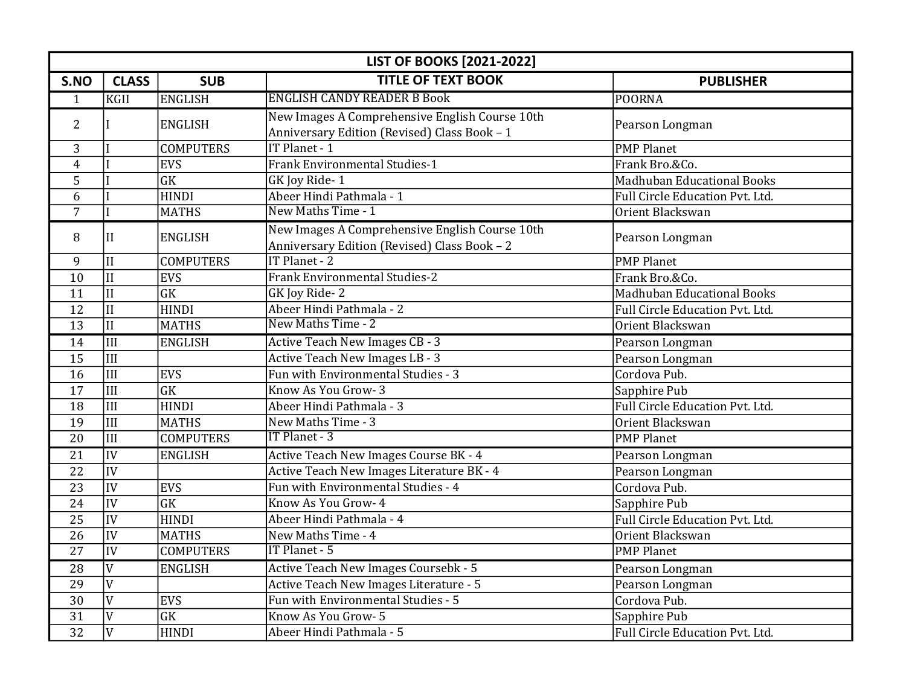|                 | <b>LIST OF BOOKS [2021-2022]</b> |                        |                                                                                                |                                   |  |
|-----------------|----------------------------------|------------------------|------------------------------------------------------------------------------------------------|-----------------------------------|--|
| S.NO            | <b>CLASS</b>                     | <b>SUB</b>             | <b>TITLE OF TEXT BOOK</b>                                                                      | <b>PUBLISHER</b>                  |  |
| 1               | <b>KGII</b>                      | <b>ENGLISH</b>         | <b>ENGLISH CANDY READER B Book</b>                                                             | <b>POORNA</b>                     |  |
| $\overline{2}$  |                                  | <b>ENGLISH</b>         | New Images A Comprehensive English Course 10th<br>Anniversary Edition (Revised) Class Book - 1 | Pearson Longman                   |  |
| 3               |                                  | <b>COMPUTERS</b>       | IT Planet - 1                                                                                  | <b>PMP Planet</b>                 |  |
| 4               |                                  | <b>EVS</b>             | <b>Frank Environmental Studies-1</b>                                                           | Frank Bro.&Co.                    |  |
| 5               |                                  | $\overline{GK}$        | GK Joy Ride-1                                                                                  | <b>Madhuban Educational Books</b> |  |
| 6               |                                  | <b>HINDI</b>           | Abeer Hindi Pathmala - 1                                                                       | Full Circle Education Pvt. Ltd.   |  |
| $\overline{7}$  |                                  | <b>MATHS</b>           | New Maths Time - 1                                                                             | Orient Blackswan                  |  |
| 8               | II                               | <b>ENGLISH</b>         | New Images A Comprehensive English Course 10th<br>Anniversary Edition (Revised) Class Book - 2 | Pearson Longman                   |  |
| 9               | $\overline{\rm II}$              | <b>COMPUTERS</b>       | IT Planet - 2                                                                                  | <b>PMP Planet</b>                 |  |
| 10              | $\overline{\rm II}$              | <b>EVS</b>             | <b>Frank Environmental Studies-2</b>                                                           | Frank Bro.&Co.                    |  |
| 11              | $\overline{\text{II}}$           | $\overline{\text{GK}}$ | GK Joy Ride-2                                                                                  | <b>Madhuban Educational Books</b> |  |
| $\overline{12}$ | $\overline{\text{II}}$           | <b>HINDI</b>           | Abeer Hindi Pathmala - 2                                                                       | Full Circle Education Pvt. Ltd.   |  |
| $\overline{13}$ | $\overline{\text{II}}$           | <b>MATHS</b>           | New Maths Time - 2                                                                             | Orient Blackswan                  |  |
| 14              | $\overline{\text{III}}$          | <b>ENGLISH</b>         | <b>Active Teach New Images CB - 3</b>                                                          | Pearson Longman                   |  |
| 15              | III                              |                        | <b>Active Teach New Images LB - 3</b>                                                          | Pearson Longman                   |  |
| 16              | $\overline{\text{III}}$          | <b>EVS</b>             | Fun with Environmental Studies - 3                                                             | Cordova Pub.                      |  |
| 17              | $\overline{\text{III}}$          | $\overline{\text{GK}}$ | Know As You Grow-3                                                                             | Sapphire Pub                      |  |
| 18              | III                              | <b>HINDI</b>           | Abeer Hindi Pathmala - 3                                                                       | Full Circle Education Pvt. Ltd.   |  |
| 19              | $\overline{\text{III}}$          | <b>MATHS</b>           | New Maths Time - 3                                                                             | Orient Blackswan                  |  |
| 20              | $\overline{\text{III}}$          | <b>COMPUTERS</b>       | <b>IT Planet - 3</b>                                                                           | <b>PMP Planet</b>                 |  |
| $\overline{21}$ | IV                               | <b>ENGLISH</b>         | Active Teach New Images Course BK - 4                                                          | Pearson Longman                   |  |
| 22              | $\overline{IV}$                  |                        | Active Teach New Images Literature BK - 4                                                      | Pearson Longman                   |  |
| 23              | $\overline{IV}$                  | <b>EVS</b>             | Fun with Environmental Studies - 4                                                             | Cordova Pub.                      |  |
| 24              | $\overline{IV}$                  | $\overline{\text{GK}}$ | Know As You Grow- 4                                                                            | Sapphire Pub                      |  |
| 25              | $\overline{IV}$                  | <b>HINDI</b>           | Abeer Hindi Pathmala - 4                                                                       | Full Circle Education Pvt. Ltd.   |  |
| 26              | $\overline{IV}$                  | <b>MATHS</b>           | New Maths Time - 4                                                                             | Orient Blackswan                  |  |
| $\overline{27}$ | $\overline{IV}$                  | <b>COMPUTERS</b>       | <b>IT Planet - 5</b>                                                                           | <b>PMP Planet</b>                 |  |
| 28              | $\overline{V}$                   | <b>ENGLISH</b>         | Active Teach New Images Coursebk - 5                                                           | Pearson Longman                   |  |
| 29              | $\overline{V}$                   |                        | Active Teach New Images Literature - 5                                                         | Pearson Longman                   |  |
| 30              | $\overline{V}$                   | <b>EVS</b>             | Fun with Environmental Studies - 5                                                             | Cordova Pub.                      |  |
| 31              | $\overline{V}$                   | $\overline{\text{GK}}$ | Know As You Grow- 5                                                                            | Sapphire Pub                      |  |
| $\overline{32}$ | $\overline{\rm v}$               | <b>HINDI</b>           | Abeer Hindi Pathmala - 5                                                                       | Full Circle Education Pvt. Ltd.   |  |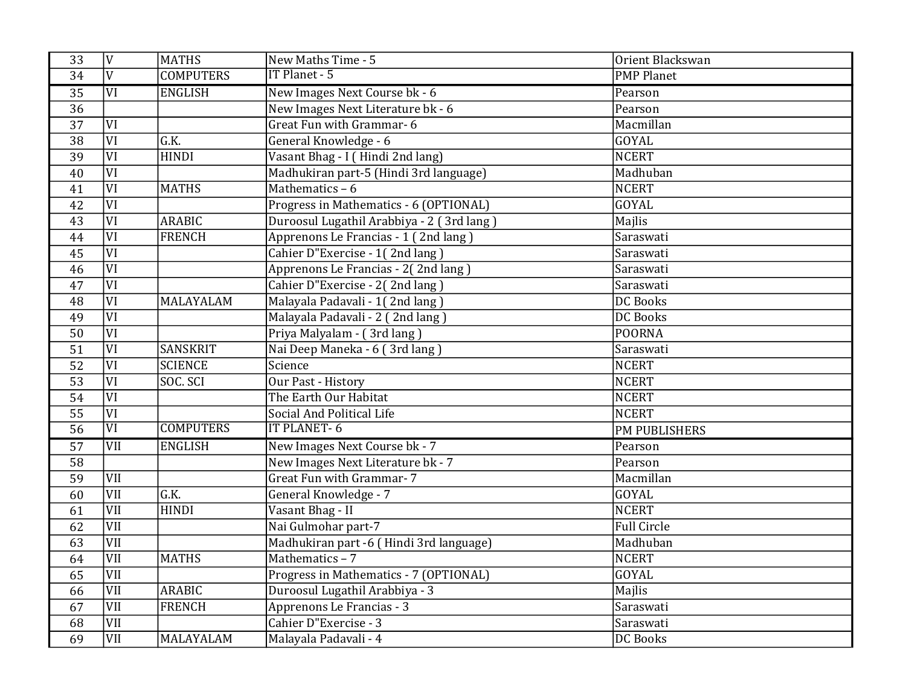| 33              | <sup>V</sup>            | <b>MATHS</b>      | New Maths Time - 5                        | Orient Blackswan     |
|-----------------|-------------------------|-------------------|-------------------------------------------|----------------------|
| 34              | $\overline{\rm v}$      | <b>COMPUTERS</b>  | IT Planet - 5                             | <b>PMP Planet</b>    |
| 35              | $\overline{\text{VI}}$  | <b>ENGLISH</b>    | New Images Next Course bk - 6             | Pearson              |
| $\overline{36}$ |                         |                   | New Images Next Literature bk - 6         | Pearson              |
| 37              | $\overline{\text{VI}}$  |                   | Great Fun with Grammar-6                  | Macmillan            |
| $\overline{38}$ | $\overline{VI}$         | $\overline{G.K.}$ | General Knowledge - 6                     | GOYAL                |
| 39              | VI                      | <b>HINDI</b>      | Vasant Bhag - I (Hindi 2nd lang)          | <b>NCERT</b>         |
| $\overline{40}$ | $\overline{VI}$         |                   | Madhukiran part-5 (Hindi 3rd language)    | Madhuban             |
| 41              | $\overline{VI}$         | <b>MATHS</b>      | Mathematics - 6                           | <b>NCERT</b>         |
| 42              | $\overline{VI}$         |                   | Progress in Mathematics - 6 (OPTIONAL)    | GOYAL                |
| 43              | $\overline{VI}$         | <b>ARABIC</b>     | Duroosul Lugathil Arabbiya - 2 (3rd lang) | Majlis               |
| 44              | $\overline{\text{VI}}$  | <b>FRENCH</b>     | Apprenons Le Francias - 1 (2nd lang)      | Saraswati            |
| 45              | $\overline{VI}$         |                   | Cahier D"Exercise - 1(2nd lang)           | Saraswati            |
| 46              | $\overline{VI}$         |                   | Apprenons Le Francias - 2(2nd lang)       | Saraswati            |
| 47              | $\overline{\text{VI}}$  |                   | Cahier D"Exercise - 2(2nd lang)           | Saraswati            |
| 48              | VI                      | MALAYALAM         | Malayala Padavali - 1(2nd lang)           | <b>DC Books</b>      |
| 49              | $\overline{\text{VI}}$  |                   | Malayala Padavali - 2 (2nd lang)          | <b>DC Books</b>      |
| 50              | $\overline{VI}$         |                   | Priya Malyalam - (3rd lang)               | <b>POORNA</b>        |
| $\overline{51}$ | $\overline{VI}$         | <b>SANSKRIT</b>   | Nai Deep Maneka - 6 (3rd lang)            | Saraswati            |
| 52              | $\overline{\text{VI}}$  | <b>SCIENCE</b>    | Science                                   | <b>NCERT</b>         |
| 53              | $\overline{VI}$         | SOC. SCI          | <b>Our Past - History</b>                 | <b>NCERT</b>         |
| 54              | $\overline{VI}$         |                   | The Earth Our Habitat                     | <b>NCERT</b>         |
| 55              | $\overline{VI}$         |                   | Social And Political Life                 | <b>NCERT</b>         |
| $\overline{56}$ | $\overline{\text{VI}}$  | <b>COMPUTERS</b>  | <b>IT PLANET-6</b>                        | <b>PM PUBLISHERS</b> |
| $\overline{57}$ | VII                     | <b>ENGLISH</b>    | New Images Next Course bk - 7             | Pearson              |
| 58              |                         |                   | New Images Next Literature bk - 7         | Pearson              |
| $\overline{59}$ | $\overline{\text{VII}}$ |                   | <b>Great Fun with Grammar-7</b>           | Macmillan            |
| 60              | VII                     | $\overline{G.K.}$ | General Knowledge - 7                     | GOYAL                |
| 61              | VII                     | <b>HINDI</b>      | Vasant Bhag - II                          | <b>NCERT</b>         |
| 62              | $\overline{\text{VII}}$ |                   | Nai Gulmohar part-7                       | <b>Full Circle</b>   |
| 63              | $\overline{\text{VII}}$ |                   | Madhukiran part -6 (Hindi 3rd language)   | Madhuban             |
| 64              | $\overline{\text{VII}}$ | <b>MATHS</b>      | Mathematics - 7                           | <b>NCERT</b>         |
| 65              | $\overline{\text{VII}}$ |                   | Progress in Mathematics - 7 (OPTIONAL)    | GOYAL                |
| 66              | $\overline{\text{VII}}$ | <b>ARABIC</b>     | Duroosul Lugathil Arabbiya - 3            | Majlis               |
| 67              | VII                     | <b>FRENCH</b>     | Apprenons Le Francias - 3                 | Saraswati            |
| 68              | $\overline{\text{VII}}$ |                   | Cahier D"Exercise - 3                     | Saraswati            |
| $\overline{69}$ | VII                     | MALAYALAM         | Malayala Padavali - 4                     | <b>DC Books</b>      |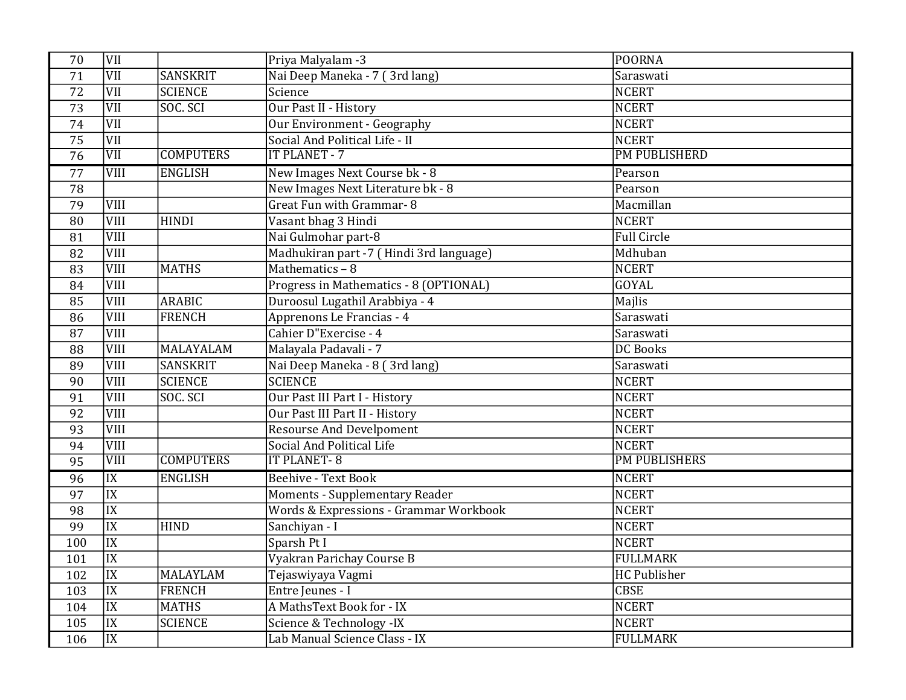| 70              | VII                     |                  | Priya Malyalam -3                       | <b>POORNA</b>        |
|-----------------|-------------------------|------------------|-----------------------------------------|----------------------|
| 71              | VII                     | SANSKRIT         | Nai Deep Maneka - 7 (3rd lang)          | Saraswati            |
| 72              | $\overline{\text{VII}}$ | <b>SCIENCE</b>   | Science                                 | <b>NCERT</b>         |
| 73              | VII                     | SOC. SCI         | Our Past II - History                   | <b>NCERT</b>         |
| 74              | $\overline{\text{VII}}$ |                  | Our Environment - Geography             | <b>NCERT</b>         |
| 75              | VII                     |                  | Social And Political Life - II          | <b>NCERT</b>         |
| $\overline{76}$ | $\overline{\text{VII}}$ | <b>COMPUTERS</b> | <b>IT PLANET - 7</b>                    | <b>PM PUBLISHERD</b> |
| 77              | <b>VIII</b>             | <b>ENGLISH</b>   | New Images Next Course bk - 8           | Pearson              |
| 78              |                         |                  | New Images Next Literature bk - 8       | Pearson              |
| 79              | <b>VIII</b>             |                  | Great Fun with Grammar-8                | Macmillan            |
| 80              | VIII                    | <b>HINDI</b>     | Vasant bhag 3 Hindi                     | <b>NCERT</b>         |
| 81              | <b>VIII</b>             |                  | Nai Gulmohar part-8                     | Full Circle          |
| 82              | VIII                    |                  | Madhukiran part -7 (Hindi 3rd language) | Mdhuban              |
| 83              | VIII                    | <b>MATHS</b>     | Mathematics - 8                         | <b>NCERT</b>         |
| 84              | <b>VIII</b>             |                  | Progress in Mathematics - 8 (OPTIONAL)  | <b>GOYAL</b>         |
| 85              | VIII                    | <b>ARABIC</b>    | Duroosul Lugathil Arabbiya - 4          | Majlis               |
| 86              | VIII                    | <b>FRENCH</b>    | Apprenons Le Francias - 4               | Saraswati            |
| 87              | VIII                    |                  | Cahier D"Exercise - 4                   | Saraswati            |
| 88              | <b>VIII</b>             | MALAYALAM        | Malayala Padavali - 7                   | <b>DC</b> Books      |
| 89              | VIII                    | <b>SANSKRIT</b>  | Nai Deep Maneka - 8 (3rd lang)          | Saraswati            |
| 90              | <b>VIII</b>             | <b>SCIENCE</b>   | <b>SCIENCE</b>                          | <b>NCERT</b>         |
| 91              | <b>VIII</b>             | SOC. SCI         | Our Past III Part I - History           | <b>NCERT</b>         |
| 92              | <b>VIII</b>             |                  | Our Past III Part II - History          | <b>NCERT</b>         |
| 93              | <b>VIII</b>             |                  | <b>Resourse And Develpoment</b>         | <b>NCERT</b>         |
| 94              | VIII                    |                  | Social And Political Life               | <b>NCERT</b>         |
| $\overline{95}$ | $\overline{\rm VIII}$   | <b>COMPUTERS</b> | <b>IT PLANET-8</b>                      | <b>PM PUBLISHERS</b> |
| 96              | $\overline{\text{IX}}$  | <b>ENGLISH</b>   | <b>Beehive - Text Book</b>              | <b>NCERT</b>         |
| 97              | $\overline{IX}$         |                  | <b>Moments - Supplementary Reader</b>   | <b>NCERT</b>         |
| 98              | $\overline{IX}$         |                  | Words & Expressions - Grammar Workbook  | <b>NCERT</b>         |
| 99              | $\overline{\text{IX}}$  | <b>HIND</b>      | Sanchiyan - I                           | <b>NCERT</b>         |
| 100             | $\overline{IX}$         |                  | Sparsh Pt I                             | <b>NCERT</b>         |
| 101             | $\overline{IX}$         |                  | Vyakran Parichay Course B               | <b>FULLMARK</b>      |
| 102             | $\overline{IX}$         | <b>MALAYLAM</b>  | Tejaswiyaya Vagmi                       | HC Publisher         |
| 103             | $\overline{IX}$         | <b>FRENCH</b>    | Entre Jeunes - I                        | <b>CBSE</b>          |
| 104             | $\overline{IX}$         | <b>MATHS</b>     | A MathsText Book for - IX               | <b>NCERT</b>         |
| 105             | $\overline{IX}$         | <b>SCIENCE</b>   | Science & Technology -IX                | <b>NCERT</b>         |
| 106             | $\overline{IX}$         |                  | Lab Manual Science Class - IX           | <b>FULLMARK</b>      |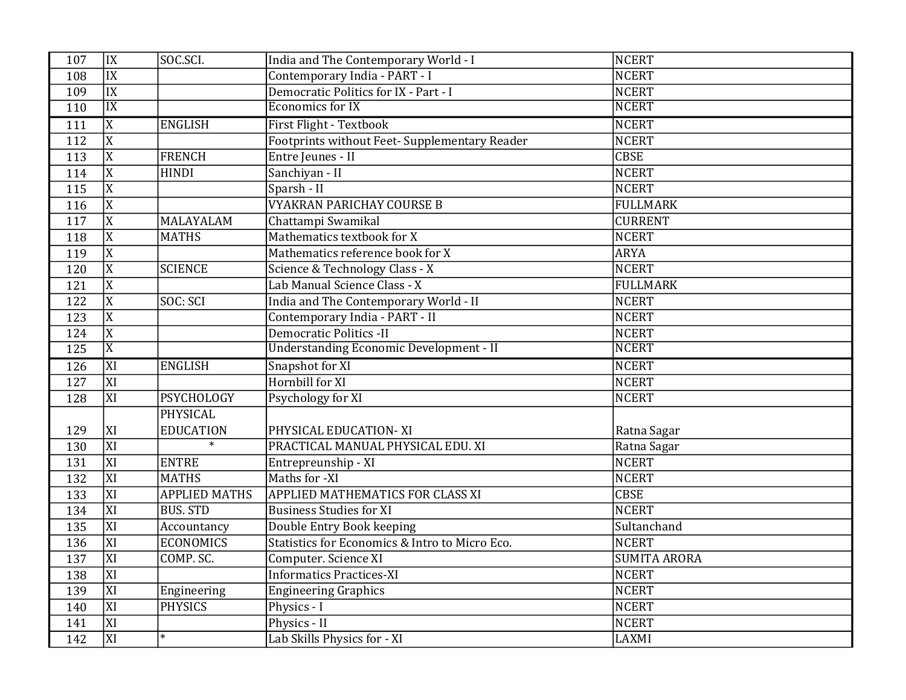| 107              | IX                      | SOC.SCI.             | India and The Contemporary World - I           | <b>NCERT</b>        |
|------------------|-------------------------|----------------------|------------------------------------------------|---------------------|
| 108              | $\overline{\text{IX}}$  |                      | Contemporary India - PART - I                  | <b>NCERT</b>        |
| 109              | IX                      |                      | Democratic Politics for IX - Part - I          | <b>NCERT</b>        |
| 110              | IX                      |                      | <b>Economics for IX</b>                        | <b>NCERT</b>        |
| 111              | $\overline{\mathrm{X}}$ | <b>ENGLISH</b>       | First Flight - Textbook                        | <b>NCERT</b>        |
| 112              | $\overline{X}$          |                      | Footprints without Feet- Supplementary Reader  | <b>NCERT</b>        |
| 113              | $\overline{X}$          | <b>FRENCH</b>        | Entre Jeunes - II                              | <b>CBSE</b>         |
| 114              | $\overline{X}$          | <b>HINDI</b>         | Sanchiyan - II                                 | <b>NCERT</b>        |
| 115              | $\overline{X}$          |                      | Sparsh - II                                    | <b>NCERT</b>        |
| 116              | $\overline{X}$          |                      | <b>VYAKRAN PARICHAY COURSE B</b>               | <b>FULLMARK</b>     |
| 117              | $\overline{\mathrm{X}}$ | MALAYALAM            | Chattampi Swamikal                             | <b>CURRENT</b>      |
| 118              | $\overline{X}$          | <b>MATHS</b>         | Mathematics textbook for X                     | <b>NCERT</b>        |
| 119              | $\overline{\mathrm{X}}$ |                      | Mathematics reference book for X               | <b>ARYA</b>         |
| 120              | $\overline{X}$          | <b>SCIENCE</b>       | Science & Technology Class - X                 | <b>NCERT</b>        |
| 121              | $\overline{X}$          |                      | Lab Manual Science Class - X                   | <b>FULLMARK</b>     |
| 122              | $\overline{X}$          | SOC: SCI             | India and The Contemporary World - II          | <b>NCERT</b>        |
| 123              | $\overline{X}$          |                      | Contemporary India - PART - II                 | <b>NCERT</b>        |
| 124              | $\overline{X}$          |                      | <b>Democratic Politics -II</b>                 | <b>NCERT</b>        |
| 125              | $\overline{\text{X}}$   |                      | <b>Understanding Economic Development - II</b> | <b>NCERT</b>        |
| $\overline{126}$ | <b>XI</b>               | <b>ENGLISH</b>       | Snapshot for XI                                | <b>NCERT</b>        |
| $\overline{127}$ | XI                      |                      | Hornbill for XI                                | <b>NCERT</b>        |
| 128              | XI                      | <b>PSYCHOLOGY</b>    | Psychology for XI                              | <b>NCERT</b>        |
|                  |                         | PHYSICAL             |                                                |                     |
| 129              | XI                      | <b>EDUCATION</b>     | PHYSICAL EDUCATION-XI                          | Ratna Sagar         |
| 130              | $\overline{X}$          | $\ast$               | PRACTICAL MANUAL PHYSICAL EDU. XI              | Ratna Sagar         |
| 131              | XI                      | <b>ENTRE</b>         | Entrepreunship - XI                            | <b>NCERT</b>        |
| 132              | XI                      | <b>MATHS</b>         | Maths for -XI                                  | <b>NCERT</b>        |
| 133              | XI                      | <b>APPLIED MATHS</b> | APPLIED MATHEMATICS FOR CLASS XI               | <b>CBSE</b>         |
| 134              | <b>XI</b>               | <b>BUS. STD</b>      | <b>Business Studies for XI</b>                 | <b>NCERT</b>        |
| 135              | XI                      | Accountancy          | Double Entry Book keeping                      | Sultanchand         |
| 136              | <b>XI</b>               | <b>ECONOMICS</b>     | Statistics for Economics & Intro to Micro Eco. | <b>NCERT</b>        |
| 137              | XI                      | COMP. SC.            | Computer. Science XI                           | <b>SUMITA ARORA</b> |
| 138              | XI                      |                      | <b>Informatics Practices-XI</b>                | <b>NCERT</b>        |
| 139              | XI                      | Engineering          | <b>Engineering Graphics</b>                    | <b>NCERT</b>        |
| 140              | <b>XI</b>               | PHYSICS              | Physics - I                                    | <b>NCERT</b>        |
| 141              | XI                      |                      | Physics - II                                   | <b>NCERT</b>        |
| 142              | XI                      | $\ast$               | Lab Skills Physics for - XI                    | LAXMI               |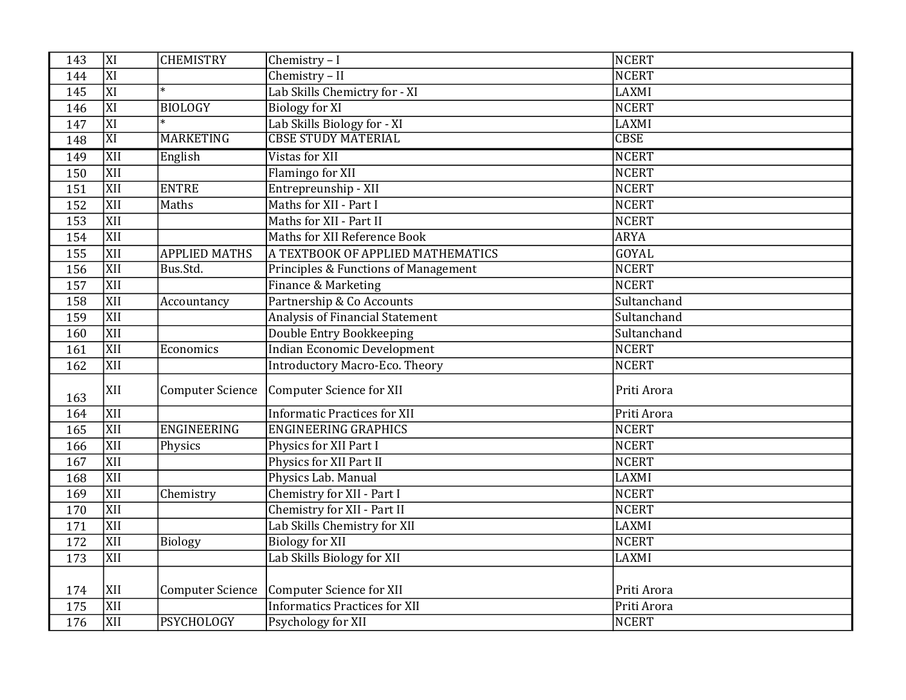| 143 | XI               | <b>CHEMISTRY</b>        | Chemistry - I                          | <b>NCERT</b> |
|-----|------------------|-------------------------|----------------------------------------|--------------|
| 144 | XI               |                         | Chemistry - II                         | <b>NCERT</b> |
| 145 | $\overline{XI}$  | $\ast$                  | Lab Skills Chemictry for - XI          | <b>LAXMI</b> |
| 146 | XI               | <b>BIOLOGY</b>          | <b>Biology for XI</b>                  | <b>NCERT</b> |
| 147 | $\overline{XI}$  |                         | Lab Skills Biology for - XI            | LAXMI        |
| 148 | $\overline{XI}$  | <b>MARKETING</b>        | <b>CBSE STUDY MATERIAL</b>             | <b>CBSE</b>  |
| 149 | XII              | English                 | Vistas for XII                         | <b>NCERT</b> |
| 150 | XII              |                         | Flamingo for XII                       | <b>NCERT</b> |
| 151 | XII              | <b>ENTRE</b>            | Entrepreunship - XII                   | <b>NCERT</b> |
| 152 | $\overline{XII}$ | Maths                   | Maths for XII - Part I                 | <b>NCERT</b> |
| 153 | XII              |                         | Maths for XII - Part II                | <b>NCERT</b> |
| 154 | <b>XII</b>       |                         | Maths for XII Reference Book           | <b>ARYA</b>  |
| 155 | XII              | <b>APPLIED MATHS</b>    | A TEXTBOOK OF APPLIED MATHEMATICS      | GOYAL        |
| 156 | XII              | Bus.Std.                | Principles & Functions of Management   | <b>NCERT</b> |
| 157 | XII              |                         | Finance & Marketing                    | <b>NCERT</b> |
| 158 | XII              | Accountancy             | Partnership & Co Accounts              | Sultanchand  |
| 159 | XII              |                         | <b>Analysis of Financial Statement</b> | Sultanchand  |
| 160 | XII              |                         | Double Entry Bookkeeping               | Sultanchand  |
| 161 | XII              | Economics               | <b>Indian Economic Development</b>     | <b>NCERT</b> |
| 162 | XII              |                         | <b>Introductory Macro-Eco. Theory</b>  | <b>NCERT</b> |
| 163 | XII              | <b>Computer Science</b> | Computer Science for XII               | Priti Arora  |
| 164 | XII              |                         | <b>Informatic Practices for XII</b>    | Priti Arora  |
| 165 | $\overline{XII}$ | <b>ENGINEERING</b>      | <b>ENGINEERING GRAPHICS</b>            | <b>NCERT</b> |
| 166 | XII              | Physics                 | Physics for XII Part I                 | <b>NCERT</b> |
| 167 | XII              |                         | Physics for XII Part II                | <b>NCERT</b> |
| 168 | XII              |                         | Physics Lab. Manual                    | LAXMI        |
| 169 | XII              | Chemistry               | Chemistry for XII - Part I             | <b>NCERT</b> |
| 170 | <b>XII</b>       |                         | <b>Chemistry for XII - Part II</b>     | <b>NCERT</b> |
| 171 | XII              |                         | Lab Skills Chemistry for XII           | LAXMI        |
| 172 | XII              | <b>Biology</b>          | <b>Biology for XII</b>                 | <b>NCERT</b> |
| 173 | XII              |                         | Lab Skills Biology for XII             | LAXMI        |
|     |                  |                         |                                        |              |
| 174 | XII              | <b>Computer Science</b> | Computer Science for XII               | Priti Arora  |
| 175 | <b>XII</b>       |                         | <b>Informatics Practices for XII</b>   | Priti Arora  |
| 176 | XII              | <b>PSYCHOLOGY</b>       | Psychology for XII                     | NCERT        |